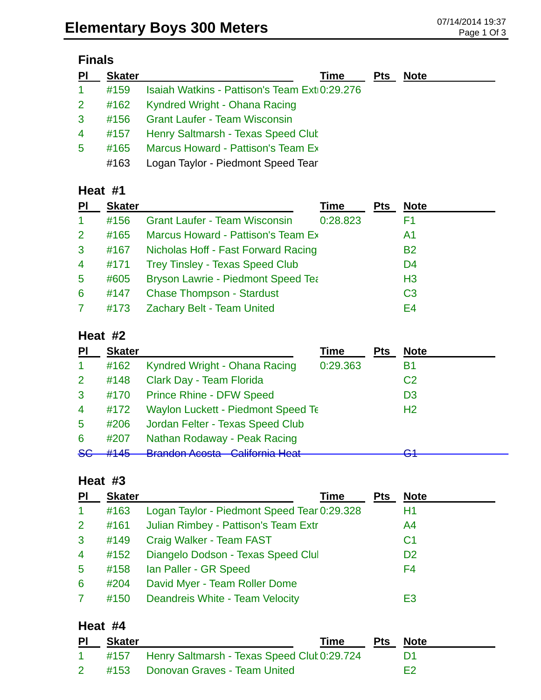# **Finals**

| PI             | <b>Skater</b> | Time                                          | <b>Pts</b> | <b>Note</b> |
|----------------|---------------|-----------------------------------------------|------------|-------------|
| $\mathbf{1}$   | #159          | Isaiah Watkins - Pattison's Team Ext 0:29.276 |            |             |
| 2 <sup>1</sup> | #162          | Kyndred Wright - Ohana Racing                 |            |             |
| $\mathbf{3}$   | #156          | <b>Grant Laufer - Team Wisconsin</b>          |            |             |
| $\overline{4}$ | #157          | Henry Saltmarsh - Texas Speed Clut            |            |             |
| 5              | #165          | Marcus Howard - Pattison's Team Ex            |            |             |
|                | #163          | Logan Taylor - Piedmont Speed Tear            |            |             |

#### **Heat #1**

| <b>PI</b>       | <b>Skater</b> |                                           | Time     | <b>Pts</b> | <b>Note</b>    |
|-----------------|---------------|-------------------------------------------|----------|------------|----------------|
| $\mathbf{1}$    | #156          | <b>Grant Laufer - Team Wisconsin</b>      | 0:28.823 |            | F1             |
| $\overline{2}$  | #165          | Marcus Howard - Pattison's Team Ex        |          |            | A1             |
| 3               | #167          | Nicholas Hoff - Fast Forward Racing       |          |            | <b>B2</b>      |
| $\overline{4}$  | #171          | <b>Trey Tinsley - Texas Speed Club</b>    |          |            | D <sub>4</sub> |
| $5\phantom{.0}$ | #605          | <b>Bryson Lawrie - Piedmont Speed Tea</b> |          |            | H <sub>3</sub> |
| 6               | #147          | <b>Chase Thompson - Stardust</b>          |          |            | C <sub>3</sub> |
| $\mathbf{7}$    | #173          | <b>Zachary Belt - Team United</b>         |          |            | E4             |

#### **Heat #2**

|               | <b>Skater</b> |                                                               | <b>Time</b> | <b>Pts</b> | <b>Note</b>    |
|---------------|---------------|---------------------------------------------------------------|-------------|------------|----------------|
|               | #162          | Kyndred Wright - Ohana Racing                                 | 0:29.363    |            | Β1             |
| $\mathcal{P}$ | #148          | Clark Day - Team Florida                                      |             |            | C <sub>2</sub> |
| 3             | #170          | <b>Prince Rhine - DFW Speed</b>                               |             |            | D <sub>3</sub> |
| 4             | #172          | <b>Waylon Luckett - Piedmont Speed Te</b>                     |             |            | H <sub>2</sub> |
| 5             | #206          | Jordan Felter - Texas Speed Club                              |             |            |                |
| 6             | #207          | Nathan Rodaway - Peak Racing                                  |             |            |                |
| <del>SG</del> | H1AE          | <b>Drandon Acosta</b> Colifornia Hoot<br>ויטער <i>ו</i> וטשום |             |            | ⌒ィ<br>ヮ        |

#### **Heat #3**

| PI              | <b>Skater</b> | Time                                        | <b>Pts</b> | <b>Note</b>    |
|-----------------|---------------|---------------------------------------------|------------|----------------|
| $\mathbf{1}$    | #163          | Logan Taylor - Piedmont Speed Tear 0:29.328 |            | H1             |
| 2 <sup>1</sup>  | #161          | Julian Rimbey - Pattison's Team Extr        |            | A4             |
| $\mathbf{3}$    | #149          | Craig Walker - Team FAST                    |            | C <sub>1</sub> |
| $\overline{4}$  | #152          | Diangelo Dodson - Texas Speed Clul          |            | D <sub>2</sub> |
| $5\phantom{.0}$ | #158          | Ian Paller - GR Speed                       |            | F4             |
| 6               | #204          | David Myer - Team Roller Dome               |            |                |
| $\overline{7}$  | #150          | Deandreis White - Team Velocity             |            | E3             |

#### **Heat #4**

| <b>PI</b>       | <b>Skater</b> |                                                    | Time | <b>Pts Note</b> |
|-----------------|---------------|----------------------------------------------------|------|-----------------|
|                 |               | 1 #157 Henry Saltmarsh - Texas Speed Cluk 0:29.724 |      |                 |
| $2 \rightarrow$ |               | #153 Donovan Graves - Team United                  |      | F2              |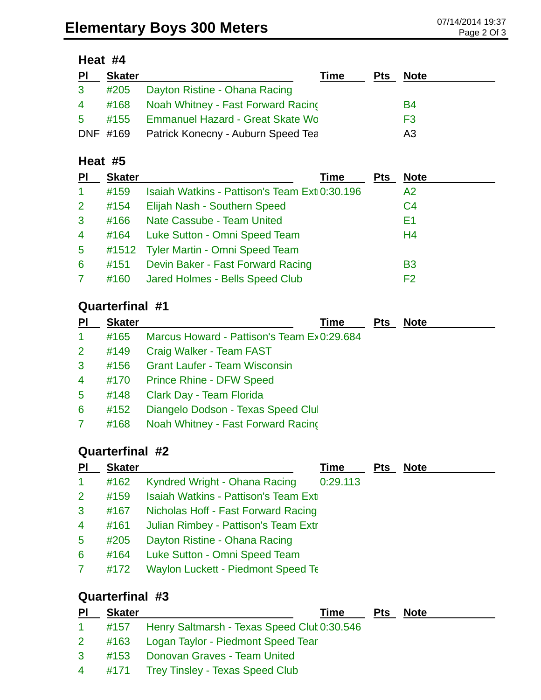## **Heat #4**

| P <sub>1</sub> | <b>Skater</b> |                                             | <b>Time</b> | Pts | <b>Note</b> |
|----------------|---------------|---------------------------------------------|-------------|-----|-------------|
| 3 <sup>1</sup> |               | #205 Dayton Ristine - Ohana Racing          |             |     |             |
|                |               | 4 #168 Noah Whitney - Fast Forward Racing   |             |     | B4          |
| $5 -$          |               | #155 Emmanuel Hazard - Great Skate Wo       |             |     | F3          |
|                |               | DNF #169 Patrick Konecny - Auburn Speed Tea |             |     | A3          |

#### **Heat #5**

| PI             | <b>Skater</b> | Time                                          | Pts | <b>Note</b>    |  |
|----------------|---------------|-----------------------------------------------|-----|----------------|--|
| 1              | #159          | Isaiah Watkins - Pattison's Team Ext(0:30.196 |     | A2             |  |
| $\mathbf{2}$   | #154          | Elijah Nash - Southern Speed                  |     | C <sub>4</sub> |  |
| 3              | #166          | Nate Cassube - Team United                    |     | E1             |  |
| $\overline{4}$ | #164          | Luke Sutton - Omni Speed Team                 |     | H <sub>4</sub> |  |
| $\overline{5}$ |               | #1512 Tyler Martin - Omni Speed Team          |     |                |  |
| 6              | #151          | Devin Baker - Fast Forward Racing             |     | <b>B3</b>      |  |
|                | #160          | Jared Holmes - Bells Speed Club               |     | F2             |  |

## **Quarterfinal #1**

| PI             | <b>Skater</b> | Time                                       | <b>Pts</b> | <b>Note</b> |
|----------------|---------------|--------------------------------------------|------------|-------------|
| $\mathbf{1}$   | #165          | Marcus Howard - Pattison's Team Ex0:29.684 |            |             |
| 2 <sup>1</sup> | #149          | Craig Walker - Team FAST                   |            |             |
| $\mathbf{3}$   | #156          | <b>Grant Laufer - Team Wisconsin</b>       |            |             |
| $\overline{4}$ | #170          | <b>Prince Rhine - DFW Speed</b>            |            |             |
| $5^{\circ}$    | #148          | Clark Day - Team Florida                   |            |             |
| $6^{\circ}$    | #152          | Diangelo Dodson - Texas Speed Clul         |            |             |
| $\mathbf{7}$   | #168          | Noah Whitney - Fast Forward Racing         |            |             |
|                |               |                                            |            |             |

# **Quarterfinal #2**

| PI                   | <b>Skater</b> |                                           | Time     | <b>Pts</b> | <b>Note</b> |
|----------------------|---------------|-------------------------------------------|----------|------------|-------------|
| $\blacktriangleleft$ | #162          | Kyndred Wright - Ohana Racing             | 0:29.113 |            |             |
| $\overline{2}$       | #159          | Isaiah Watkins - Pattison's Team Exti     |          |            |             |
| 3                    | #167          | Nicholas Hoff - Fast Forward Racing       |          |            |             |
| $\overline{4}$       | #161          | Julian Rimbey - Pattison's Team Extr      |          |            |             |
| $5\phantom{.0}$      | #205          | Dayton Ristine - Ohana Racing             |          |            |             |
| 6                    | #164          | Luke Sutton - Omni Speed Team             |          |            |             |
| 7                    | #172          | <b>Waylon Luckett - Piedmont Speed Te</b> |          |            |             |
|                      |               |                                           |          |            |             |

# **Quarterfinal #3**

| $\overline{P}$ | <b>Skater</b> | Time                                               | <b>Pts</b> | <b>Note</b> |
|----------------|---------------|----------------------------------------------------|------------|-------------|
|                |               | 1 #157 Henry Saltmarsh - Texas Speed Clut 0:30.546 |            |             |
|                |               | 2 #163 Logan Taylor - Piedmont Speed Tear          |            |             |
|                |               | 3 #153 Donovan Graves - Team United                |            |             |
|                |               | 4 #171 Trey Tinsley - Texas Speed Club             |            |             |